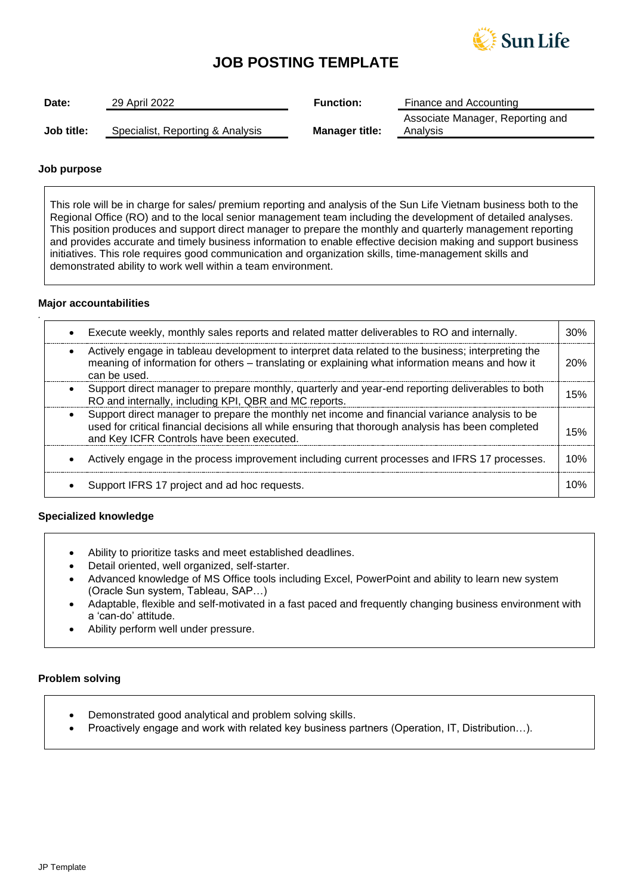

# **JOB POSTING TEMPLATE**

| Date:      | 29 April 2022                    | <b>Function:</b>      | Finance and Accounting                       |
|------------|----------------------------------|-----------------------|----------------------------------------------|
| Job title: | Specialist, Reporting & Analysis | <b>Manager title:</b> | Associate Manager, Reporting and<br>Analysis |

### **Job purpose**

This role will be in charge for sales/ premium reporting and analysis of the Sun Life Vietnam business both to the Regional Office (RO) and to the local senior management team including the development of detailed analyses. This position produces and support direct manager to prepare the monthly and quarterly management reporting and provides accurate and timely business information to enable effective decision making and support business initiatives. This role requires good communication and organization skills, time-management skills and demonstrated ability to work well within a team environment.

### **Major accountabilities**

*.*

| Execute weekly, monthly sales reports and related matter deliverables to RO and internally.                                                                                                                                                       | 30% |
|---------------------------------------------------------------------------------------------------------------------------------------------------------------------------------------------------------------------------------------------------|-----|
| Actively engage in tableau development to interpret data related to the business; interpreting the<br>meaning of information for others - translating or explaining what information means and how it<br>can be used.                             | 20% |
| Support direct manager to prepare monthly, quarterly and year-end reporting deliverables to both<br>RO and internally, including KPI, QBR and MC reports.                                                                                         | 15% |
| Support direct manager to prepare the monthly net income and financial variance analysis to be<br>used for critical financial decisions all while ensuring that thorough analysis has been completed<br>and Key ICFR Controls have been executed. | 15% |
| Actively engage in the process improvement including current processes and IFRS 17 processes.                                                                                                                                                     | 10% |
| Support IFRS 17 project and ad hoc requests.                                                                                                                                                                                                      | 1በ% |

## **Specialized knowledge**

- Ability to prioritize tasks and meet established deadlines.
- Detail oriented, well organized, self-starter.
- Advanced knowledge of MS Office tools including Excel, PowerPoint and ability to learn new system (Oracle Sun system, Tableau, SAP…)
- Adaptable, flexible and self-motivated in a fast paced and frequently changing business environment with a 'can-do' attitude.
- Ability perform well under pressure.

#### **Problem solving**

- Demonstrated good analytical and problem solving skills.
- Proactively engage and work with related key business partners (Operation, IT, Distribution…).